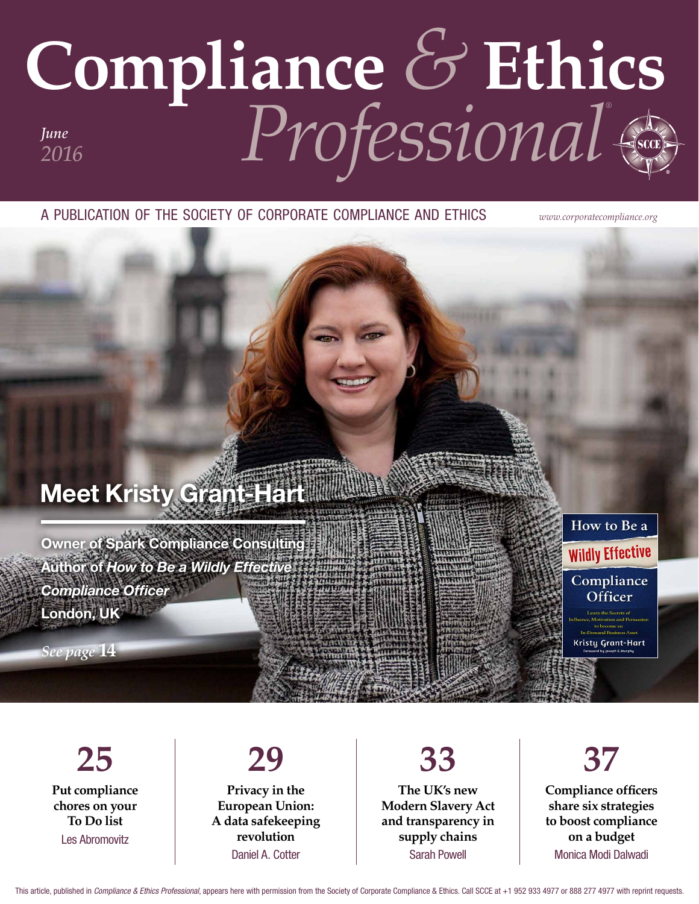## **Compliance** *&* **Ethics** *Professional® June 2016*

a publication of the society of corporate compliance and ethics *www.corporatecompliance.org*

### Meet Kristy Grant-Hart

Owner of Spark Compliance Consulting Author of *How to Be a Wildly Effective Compliance Officer* London, UK

*See page* **14**

**25 Put compliance chores on your To Do list** Les Abromovitz

#### **29 Privacy in the European Union: A data safekeeping**

**revolution** Daniel A. Cotter

**The UK's new Modern Slavery Act and transparency in supply chains** Sarah Powell

**33**

## **37**

How to Be a

**Wildly Effective** 

Compliance Officer

**Kristy Grant-Hart** 

**Compliance officers share six strategies to boost compliance on a budget** Monica Modi Dalwadi

This article, published in *Compliance & Ethics Professional*, appears here with permission from the Society of Corporate Compliance & Ethics. Call SCCE at +1 952 933 4977 or 888 277 4977 with reprint requests.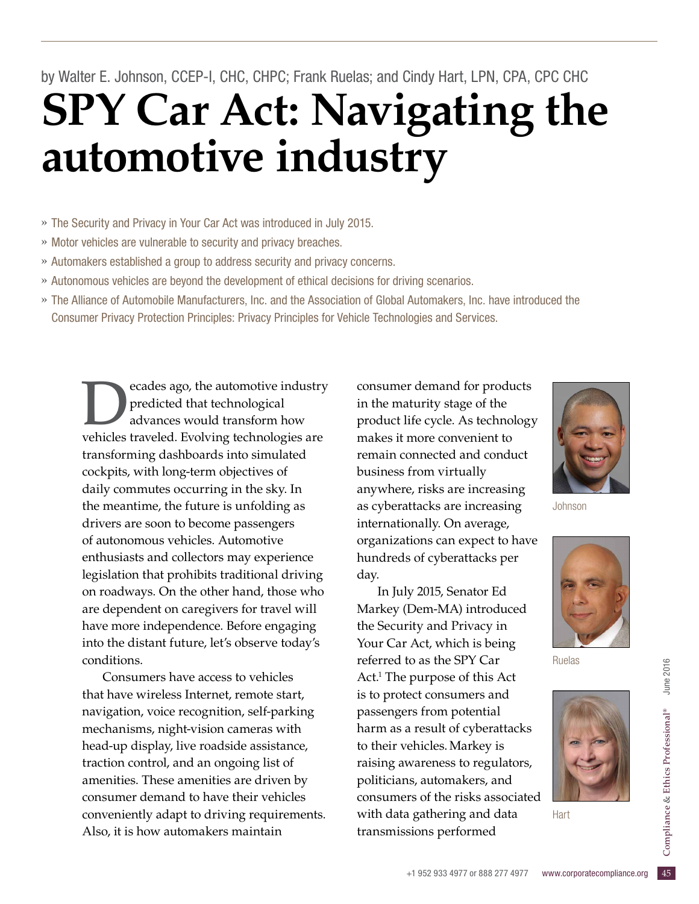## **SPY Car Act: Navigating the automotive industry** by Walter E. Johnson, CCEP-I, CHC, CHPC; Frank Ruelas; and Cindy Hart, LPN, CPA, CPC CHC

» The Security and Privacy in Your Car Act was introduced in July 2015.

- » Motor vehicles are vulnerable to security and privacy breaches.
- » Automakers established a group to address security and privacy concerns.
- » Autonomous vehicles are beyond the development of ethical decisions for driving scenarios.
- » The Alliance of Automobile Manufacturers, Inc. and the Association of Global Automakers, Inc. have introduced the Consumer Privacy Protection Principles: Privacy Principles for Vehicle Technologies and Services.

ecades ago, the automotive industry predicted that technological advances would transform how vehicles traveled. Evolving technologies are transforming dashboards into simulated cockpits, with long-term objectives of daily commutes occurring in the sky. In the meantime, the future is unfolding as drivers are soon to become passengers of autonomous vehicles. Automotive enthusiasts and collectors may experience legislation that prohibits traditional driving on roadways. On the other hand, those who are dependent on caregivers for travel will have more independence. Before engaging into the distant future, let's observe today's conditions.

Consumers have access to vehicles that have wireless Internet, remote start, navigation, voice recognition, self-parking mechanisms, night-vision cameras with head-up display, live roadside assistance, traction control, and an ongoing list of amenities. These amenities are driven by consumer demand to have their vehicles conveniently adapt to driving requirements. Also, it is how automakers maintain

consumer demand for products in the maturity stage of the product life cycle. As technology makes it more convenient to remain connected and conduct business from virtually anywhere, risks are increasing as cyberattacks are increasing internationally. On average, organizations can expect to have hundreds of cyberattacks per day.

a gathering and data Hart<br>sions performed<br>+1 952 933 4977 or 888 277 4977 www.corporatecompliance.org 45 In July 2015, Senator Ed Markey (Dem-MA) introduced the Security and Privacy in Your Car Act, which is being referred to as the SPY Car Act.<sup>1</sup> The purpose of this Act is to protect consumers and passengers from potential harm as a result of cyberattacks to their vehicles.Markey is raising awareness to regulators, politicians, automakers, and consumers of the risks associated with data gathering and data transmissions performed



Johnson



Ruelas



**Hart**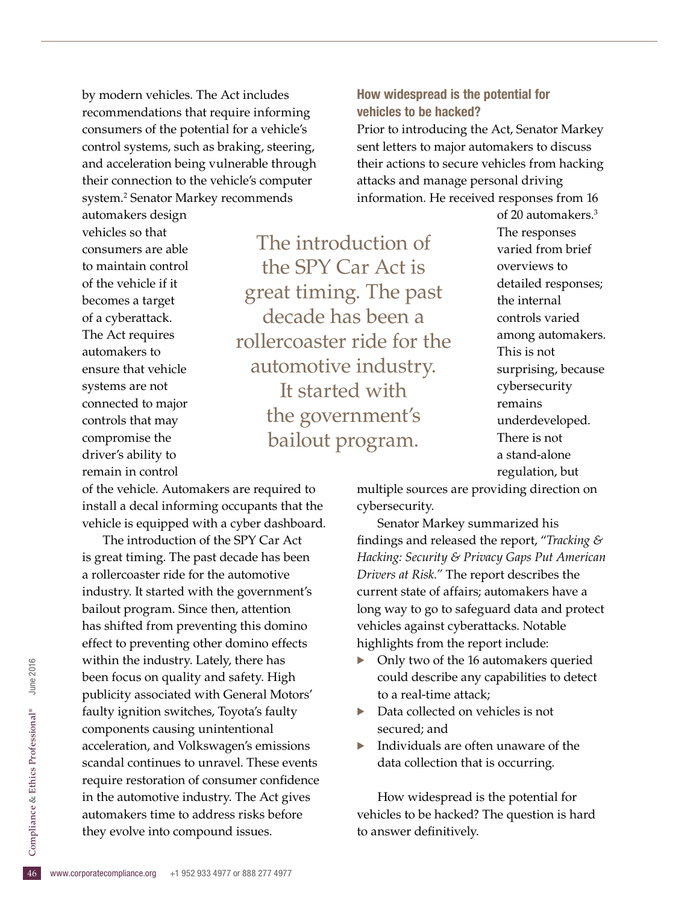by modern vehicles. The Act includes recommendations that require informing consumers of the potential for a vehicle's control systems, such as braking, steering, and acceleration being vulnerable through their connection to the vehicle's computer system.2 Senator Markey recommends

vehicles so that consumers are able to maintain control of the vehicle if it becomes a target of a cyberattack. The Act requires automakers to ensure that vehicle systems are not connected to major controls that may compromise the driver's ability to remain in control

automakers design

The introduction of the SPY Car Act is great timing. The past decade has been a rollercoaster ride for the automotive industry. It started with the government's bailout program.

information. He received responses from 16 of 20 automakers.3 The responses varied from brief overviews to detailed responses; the internal controls varied among automakers. This is not surprising, because cybersecurity remains underdeveloped. There is not a stand-alone regulation, but

of the vehicle. Automakers are required to install a decal informing occupants that the vehicle is equipped with a cyber dashboard.

46 automakers time to address risks before they evolve into compound issues. The introduction of the SPY Car Act is great timing. The past decade has been a rollercoaster ride for the automotive industry. It started with the government's bailout program. Since then, attention has shifted from preventing this domino effect to preventing other domino effects within the industry. Lately, there has been focus on quality and safety. High publicity associated with General Motors' faulty ignition switches, Toyota's faulty components causing unintentional acceleration, and Volkswagen's emissions scandal continues to unravel. These events require restoration of consumer confidence in the automotive industry. The Act gives automakers time to address risks before they evolve into compound issues.

multiple sources are providing direction on cybersecurity.

How widespread is the potential for

attacks and manage personal driving

Prior to introducing the Act, Senator Markey sent letters to major automakers to discuss their actions to secure vehicles from hacking

vehicles to be hacked?

Senator Markey summarized his findings and released the report, "*Tracking & Hacking: Security & Privacy Gaps Put American Drivers at Risk."* The report describes the current state of affairs; automakers have a long way to go to safeguard data and protect vehicles against cyberattacks. Notable highlights from the report include:

- Only two of the 16 automakers queried could describe any capabilities to detect to a real-time attack;
- Data collected on vehicles is not secured; and
- $\blacktriangleright$  Individuals are often unaware of the data collection that is occurring.

How widespread is the potential for vehicles to be hacked? The question is hard to answer definitively.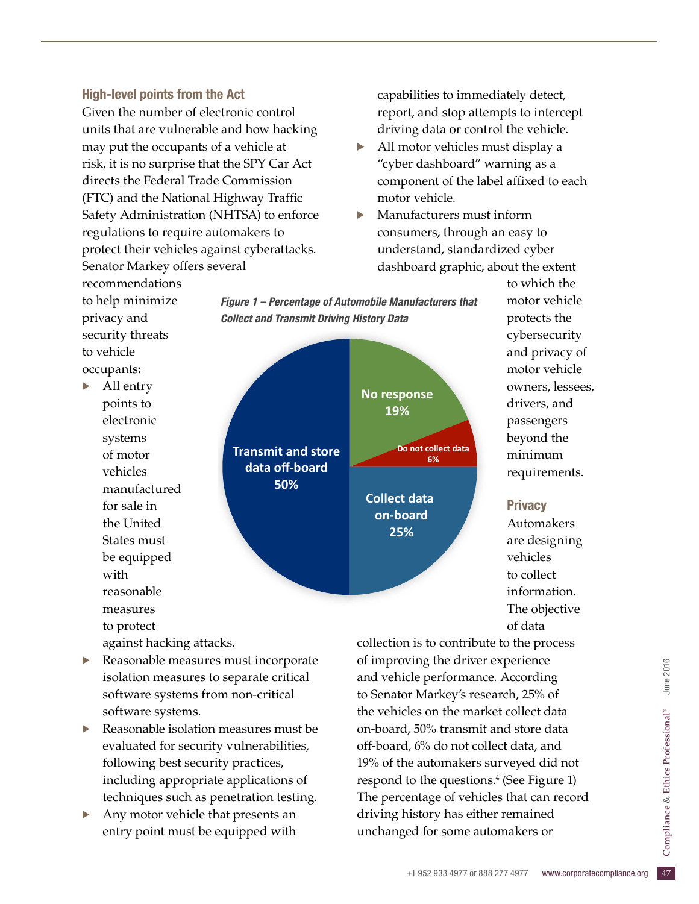#### High-level points from the Act

recommendations to help minimize

> for sale in the United States must be equipped

reasonable measures to protect

with

privacy and security threats

to vehicle occupants**:** · All entry points to electronic systems of motor vehicles

Given the number of electronic control units that are vulnerable and how hacking may put the occupants of a vehicle at risk, it is no surprise that the SPY Car Act directs the Federal Trade Commission (FTC) and the National Highway Traffic Safety Administration (NHTSA) to enforce regulations to require automakers to protect their vehicles against cyberattacks. Senator Markey offers several

capabilities to immediately detect, report, and stop attempts to intercept driving data or control the vehicle.

- All motor vehicles must display a "cyber dashboard" warning as a component of the label affixed to each motor vehicle.
- · Manufacturers must inform consumers, through an easy to understand, standardized cyber dashboard graphic, about the extent

Figure 1 – Percentage of Automobile Manufacturers that **Collect and Transmit Driving History Data**  *Collect and Transmit Driving History Data*

manufactured **No response 19% Do** not collect data **6% Collect data on-board 25% Transmit and store** data off-board **50%** 

motor vehicle protects the cybersecurity and privacy of motor vehicle

to which the

#### **Privacy**

Automakers are designing vehicles to collect information. The objective of data

Reasonable measures must incorporate isolation measures to separate critical software systems from non-critical software systems.

against hacking attacks.

- Reasonable isolation measures must be evaluated for security vulnerabilities, following best security practices, including appropriate applications of techniques such as penetration testing.
- Any motor vehicle that presents an entry point must be equipped with

history has either remained<br>ed for some automakers or<br>+1 952 933 4977 or 888 277 4977 www.corporatecompliance.org 47 collection is to contribute to the process of improving the driver experience and vehicle performance. According to Senator Markey's research, 25% of the vehicles on the market collect data on-board, 50% transmit and store data off-board, 6% do not collect data, and 19% of the automakers surveyed did not respond to the questions.<sup>4</sup> (See Figure 1) The percentage of vehicles that can record driving history has either remained unchanged for some automakers or

owners, lessees, drivers, and passengers beyond the minimum requirements.

# June 2016 & Ethics Professional® June 2016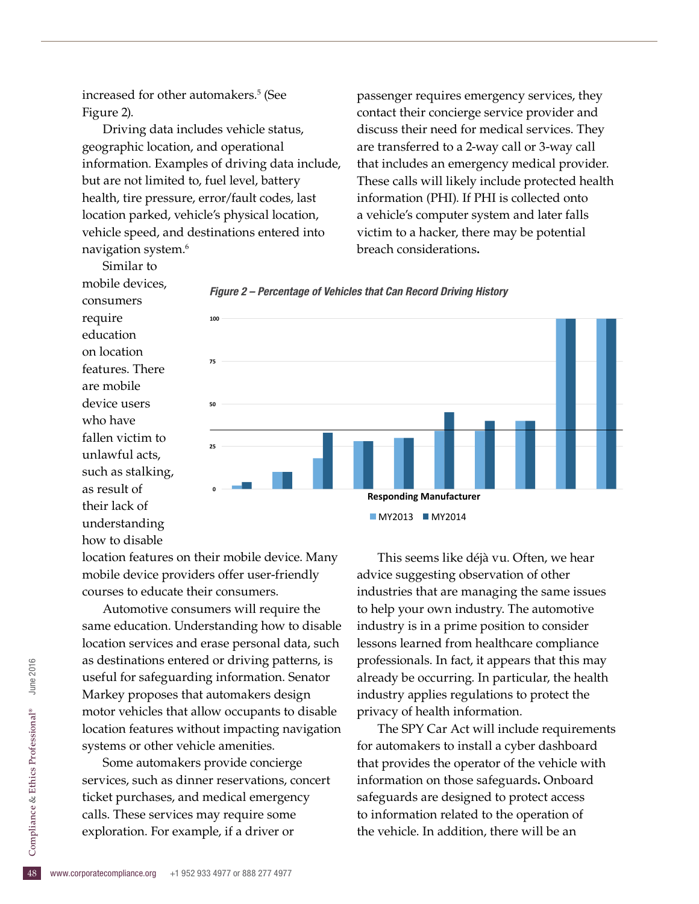increased for other automakers.5 (See Figure 2).

Driving data includes vehicle status, geographic location, and operational information. Examples of driving data include, but are not limited to, fuel level, battery health, tire pressure, error/fault codes, last location parked, vehicle's physical location, vehicle speed, and destinations entered into navigation system.6

passenger requires emergency services, they contact their concierge service provider and discuss their need for medical services. They are transferred to a 2-way call or 3-way call that includes an emergency medical provider. These calls will likely include protected health information (PHI). If PHI is collected onto a vehicle's computer system and later falls victim to a hacker, there may be potential breach considerations**.**







location features on their mobile device. Many mobile device providers offer user-friendly courses to educate their consumers.

Automotive consumers will require the same education. Understanding how to disable location services and erase personal data, such as destinations entered or driving patterns, is useful for safeguarding information. Senator Markey proposes that automakers design motor vehicles that allow occupants to disable location features without impacting navigation systems or other vehicle amenities.

calls. These services may require some<br>exploration. For example, if a driver or<br> $\frac{6}{5}$ <br>www.corporatecompliance.org +1 952 933 4977 or 888 277 4977 Some automakers provide concierge services, such as dinner reservations, concert ticket purchases, and medical emergency exploration. For example, if a driver or

This seems like déjà vu. Often, we hear advice suggesting observation of other industries that are managing the same issues to help your own industry. The automotive industry is in a prime position to consider lessons learned from healthcare compliance professionals. In fact, it appears that this may already be occurring. In particular, the health industry applies regulations to protect the privacy of health information.

The SPY Car Act will include requirements for automakers to install a cyber dashboard that provides the operator of the vehicle with information on those safeguards**.** Onboard safeguards are designed to protect access to information related to the operation of the vehicle. In addition, there will be an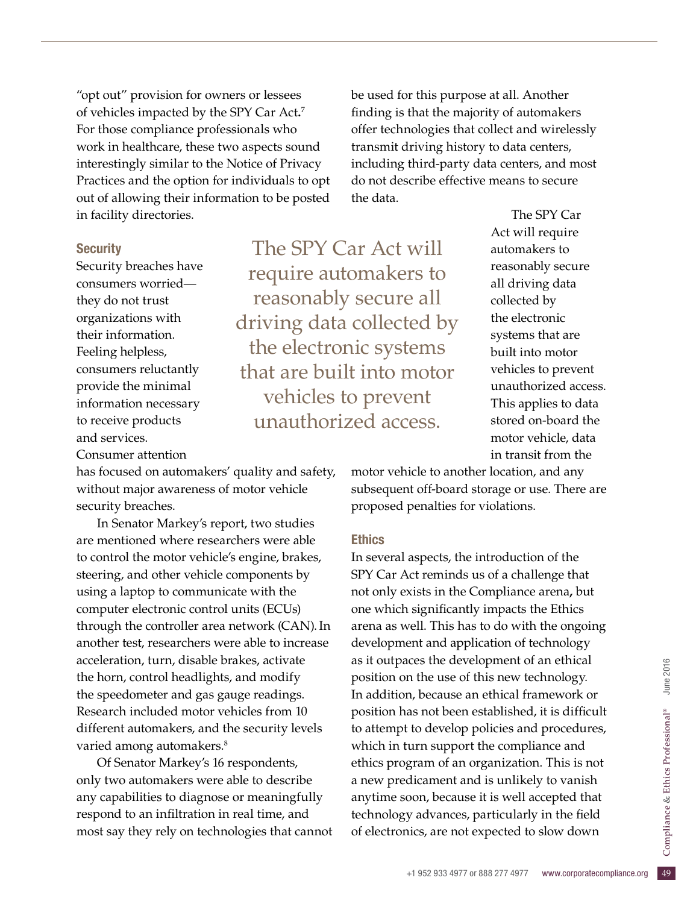"opt out" provision for owners or lessees of vehicles impacted by the SPY Car Act**.** 7 For those compliance professionals who work in healthcare, these two aspects sound interestingly similar to the Notice of Privacy Practices and the option for individuals to opt out of allowing their information to be posted in facility directories.

#### **Security**

Security breaches have consumers worried they do not trust organizations with their information. Feeling helpless, consumers reluctantly provide the minimal information necessary to receive products and services.

Consumer attention

has focused on automakers' quality and safety, without major awareness of motor vehicle security breaches.

In Senator Markey's report, two studies are mentioned where researchers were able to control the motor vehicle's engine, brakes, steering, and other vehicle components by using a laptop to communicate with the computer electronic control units (ECUs) through the controller area network (CAN).In another test, researchers were able to increase acceleration, turn, disable brakes, activate the horn, control headlights, and modify the speedometer and gas gauge readings. Research included motor vehicles from 10 different automakers, and the security levels varied among automakers.<sup>8</sup>

Of Senator Markey's 16 respondents, only two automakers were able to describe any capabilities to diagnose or meaningfully respond to an infiltration in real time, and most say they rely on technologies that cannot be used for this purpose at all. Another finding is that the majority of automakers offer technologies that collect and wirelessly transmit driving history to data centers, including third-party data centers, and most do not describe effective means to secure the data.

The SPY Car Act will require automakers to reasonably secure all driving data collected by the electronic systems that are built into motor vehicles to prevent unauthorized access.

The SPY Car Act will require automakers to reasonably secure all driving data collected by the electronic systems that are built into motor vehicles to prevent unauthorized access. This applies to data stored on-board the motor vehicle, data in transit from the

motor vehicle to another location, and any subsequent off-board storage or use. There are proposed penalties for violations.

#### **Ethics**

technology advances, particularly in the field<br>
of electronics, are not expected to slow down<br>
<sup>+1</sup> 952 933 4977 or 888 277 4977 www.corporatecompliance.org In several aspects, the introduction of the SPY Car Act reminds us of a challenge that not only exists in the Compliance arena**,** but one which significantly impacts the Ethics arena as well. This has to do with the ongoing development and application of technology as it outpaces the development of an ethical position on the use of this new technology. In addition, because an ethical framework or position has not been established, it is difficult to attempt to develop policies and procedures, which in turn support the compliance and ethics program of an organization. This is not a new predicament and is unlikely to vanish anytime soon, because it is well accepted that of electronics, are not expected to slow down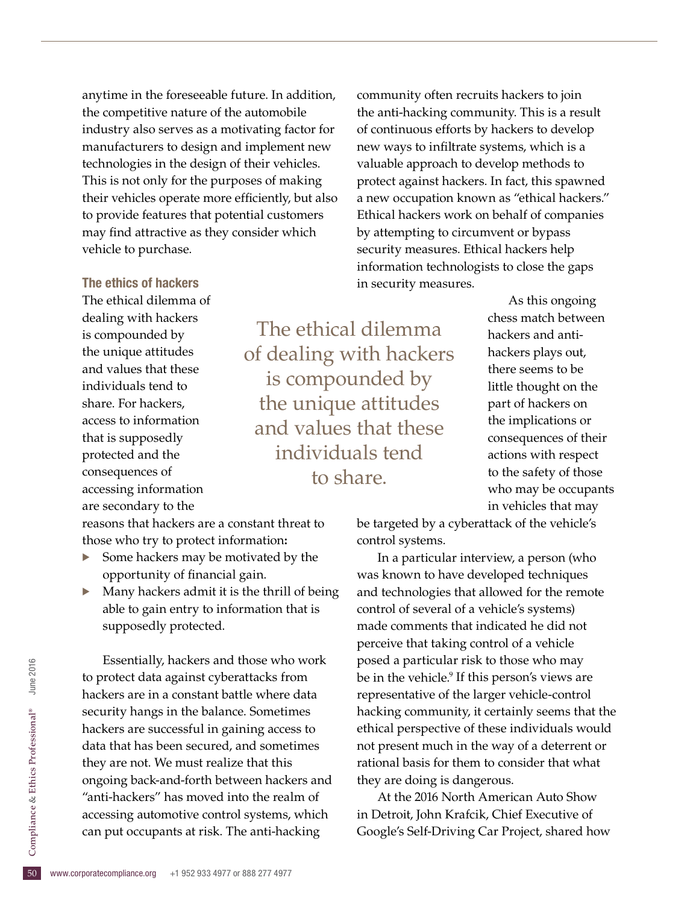anytime in the foreseeable future. In addition, the competitive nature of the automobile industry also serves as a motivating factor for manufacturers to design and implement new technologies in the design of their vehicles. This is not only for the purposes of making their vehicles operate more efficiently, but also to provide features that potential customers may find attractive as they consider which vehicle to purchase.

community often recruits hackers to join the anti-hacking community. This is a result of continuous efforts by hackers to develop new ways to infiltrate systems, which is a valuable approach to develop methods to protect against hackers. In fact, this spawned a new occupation known as "ethical hackers." Ethical hackers work on behalf of companies by attempting to circumvent or bypass security measures. Ethical hackers help information technologists to close the gaps in security measures.

> As this ongoing chess match between hackers and antihackers plays out, there seems to be little thought on the part of hackers on the implications or consequences of their actions with respect to the safety of those who may be occupants in vehicles that may

The ethics of hackers

The ethical dilemma of dealing with hackers is compounded by the unique attitudes and values that these individuals tend to share. For hackers, access to information that is supposedly protected and the consequences of accessing information are secondary to the

reasons that hackers are a constant threat to those who try to protect information**:**

- Some hackers may be motivated by the opportunity of financial gain.
- Many hackers admit it is the thrill of being able to gain entry to information that is supposedly protected.

accessing automotive control systems,<br>can put occupants at risk. The anti-had<br> $\frac{50}{50}$  www.corporatecompliance.org +1 952 933 4977 or 888 277 4977 Essentially, hackers and those who work to protect data against cyberattacks from hackers are in a constant battle where data security hangs in the balance. Sometimes hackers are successful in gaining access to data that has been secured, and sometimes they are not. We must realize that this ongoing back-and-forth between hackers and "anti-hackers" has moved into the realm of accessing automotive control systems, which can put occupants at risk. The anti-hacking

be targeted by a cyberattack of the vehicle's control systems.

The ethical dilemma

of dealing with hackers

is compounded by

the unique attitudes and values that these

individuals tend

to share.

In a particular interview, a person (who was known to have developed techniques and technologies that allowed for the remote control of several of a vehicle's systems) made comments that indicated he did not perceive that taking control of a vehicle posed a particular risk to those who may be in the vehicle.<sup>9</sup> If this person's views are representative of the larger vehicle-control hacking community, it certainly seems that the ethical perspective of these individuals would not present much in the way of a deterrent or rational basis for them to consider that what they are doing is dangerous.

At the 2016 North American Auto Show in Detroit, John Krafcik, Chief Executive of Google's Self-Driving Car Project, shared how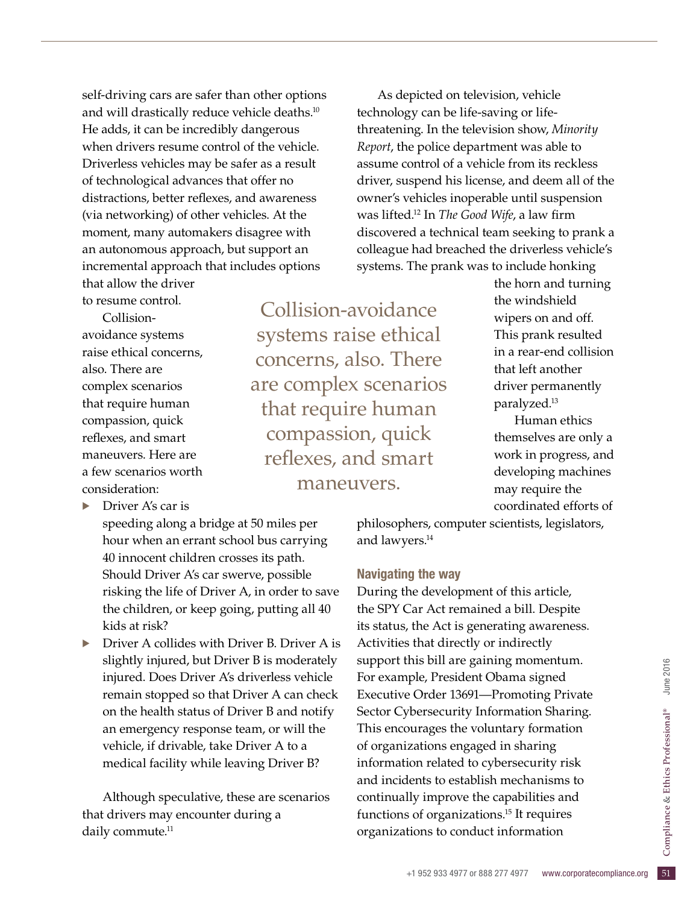self-driving cars are safer than other options and will drastically reduce vehicle deaths.10 He adds, it can be incredibly dangerous when drivers resume control of the vehicle. Driverless vehicles may be safer as a result of technological advances that offer no distractions, better reflexes, and awareness (via networking) of other vehicles. At the moment, many automakers disagree with an autonomous approach, but support an incremental approach that includes options that allow the driver

to resume control.

Collisionavoidance systems raise ethical concerns, also. There are complex scenarios that require human compassion, quick reflexes, and smart maneuvers. Here are a few scenarios worth consideration:

Driver A's car is

speeding along a bridge at 50 miles per hour when an errant school bus carrying 40 innocent children crosses its path. Should Driver A's car swerve, possible risking the life of Driver A, in order to save the children, or keep going, putting all 40 kids at risk?

· Driver A collides with Driver B. Driver A is slightly injured, but Driver B is moderately injured. Does Driver A's driverless vehicle remain stopped so that Driver A can check on the health status of Driver B and notify an emergency response team, or will the vehicle, if drivable, take Driver A to a medical facility while leaving Driver B?

Although speculative, these are scenarios that drivers may encounter during a daily commute.<sup>11</sup>

Collision-avoidance systems raise ethical concerns, also. There are complex scenarios that require human compassion, quick reflexes, and smart maneuvers.

As depicted on television, vehicle technology can be life-saving or lifethreatening. In the television show, *Minority Report*, the police department was able to assume control of a vehicle from its reckless driver, suspend his license, and deem all of the owner's vehicles inoperable until suspension was lifted.12 In *The Good Wife*, a law firm discovered a technical team seeking to prank a colleague had breached the driverless vehicle's systems. The prank was to include honking

the horn and turning the windshield wipers on and off. This prank resulted in a rear-end collision that left another driver permanently paralyzed.13

Human ethics themselves are only a work in progress, and developing machines may require the coordinated efforts of

philosophers, computer scientists, legislators, and lawyers.<sup>14</sup>

#### Navigating the way

5 of organizations.<sup>15</sup> It requires<br>tions to conduct information<br>+1 952 933 4977 or 888 277 4977 www.corporatecompliance.org 51 During the development of this article, the SPY Car Act remained a bill. Despite its status, the Act is generating awareness. Activities that directly or indirectly support this bill are gaining momentum. For example, President Obama signed Executive Order 13691—Promoting Private Sector Cybersecurity Information Sharing. This encourages the voluntary formation of organizations engaged in sharing information related to cybersecurity risk and incidents to establish mechanisms to continually improve the capabilities and functions of organizations.15 It requires organizations to conduct information